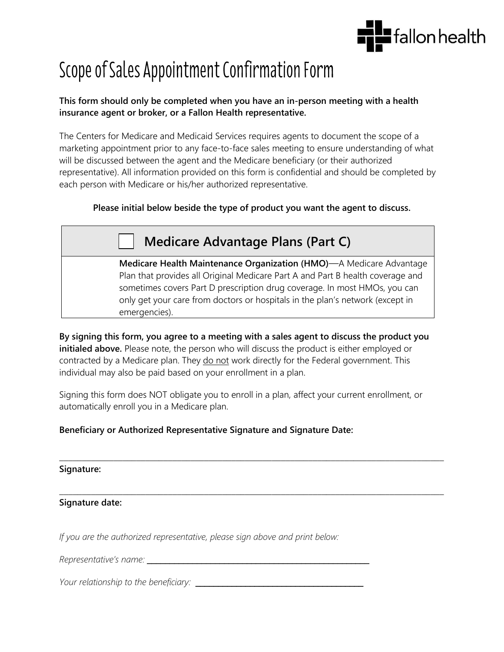

# Scope of Sales Appointment Confirmation Form

#### **This form should only be completed when you have an in-person meeting with a health insurance agent or broker, or a Fallon Health representative.**

The Centers for Medicare and Medicaid Services requires agents to document the scope of a marketing appointment prior to any face-to-face sales meeting to ensure understanding of what will be discussed between the agent and the Medicare beneficiary (or their authorized representative). All information provided on this form is confidential and should be completed by each person with Medicare or his/her authorized representative.

### **Please initial below beside the type of product you want the agent to discuss.**

## **Medicare Advantage Plans (Part C)**

**Medicare Health Maintenance Organization (HMO)**—A Medicare Advantage Plan that provides all Original Medicare Part A and Part B health coverage and sometimes covers Part D prescription drug coverage. In most HMOs, you can only get your care from doctors or hospitals in the plan's network (except in emergencies).

**By signing this form, you agree to a meeting with a sales agent to discuss the product you initialed above.** Please note, the person who will discuss the product is either employed or contracted by a Medicare plan. They do not work directly for the Federal government. This individual may also be paid based on your enrollment in a plan.

Signing this form does NOT obligate you to enroll in a plan, affect your current enrollment, or automatically enroll you in a Medicare plan.

### **Beneficiary or Authorized Representative Signature and Signature Date:**

#### \_\_\_\_\_\_\_\_\_\_\_\_\_\_\_\_\_\_\_\_\_\_\_\_\_\_\_\_\_\_\_\_\_\_\_\_\_\_\_\_\_\_\_\_\_\_\_\_\_\_\_\_\_\_\_\_\_\_\_\_\_\_\_\_\_\_\_\_\_\_\_\_\_\_\_\_\_\_\_\_\_\_\_\_\_ **Signature:**

\_\_\_\_\_\_\_\_\_\_\_\_\_\_\_\_\_\_\_\_\_\_\_\_\_\_\_\_\_\_\_\_\_\_\_\_\_\_\_\_\_\_\_\_\_\_\_\_\_\_\_\_\_\_\_\_\_\_\_\_\_\_\_\_\_\_\_\_\_\_\_\_\_\_\_\_\_\_\_\_\_\_\_\_\_ **Signature date:**

*If you are the authorized representative, please sign above and print below:* 

*Representative's name:* \_\_\_\_\_\_\_\_\_\_\_\_\_\_\_\_\_\_\_\_\_\_\_\_\_\_\_\_\_\_\_\_\_\_\_\_\_\_\_\_\_\_\_\_\_\_\_\_\_

*Your relationship to the beneficiary:* \_\_\_\_\_\_\_\_\_\_\_\_\_\_\_\_\_\_\_\_\_\_\_\_\_\_\_\_\_\_\_\_\_\_\_\_\_